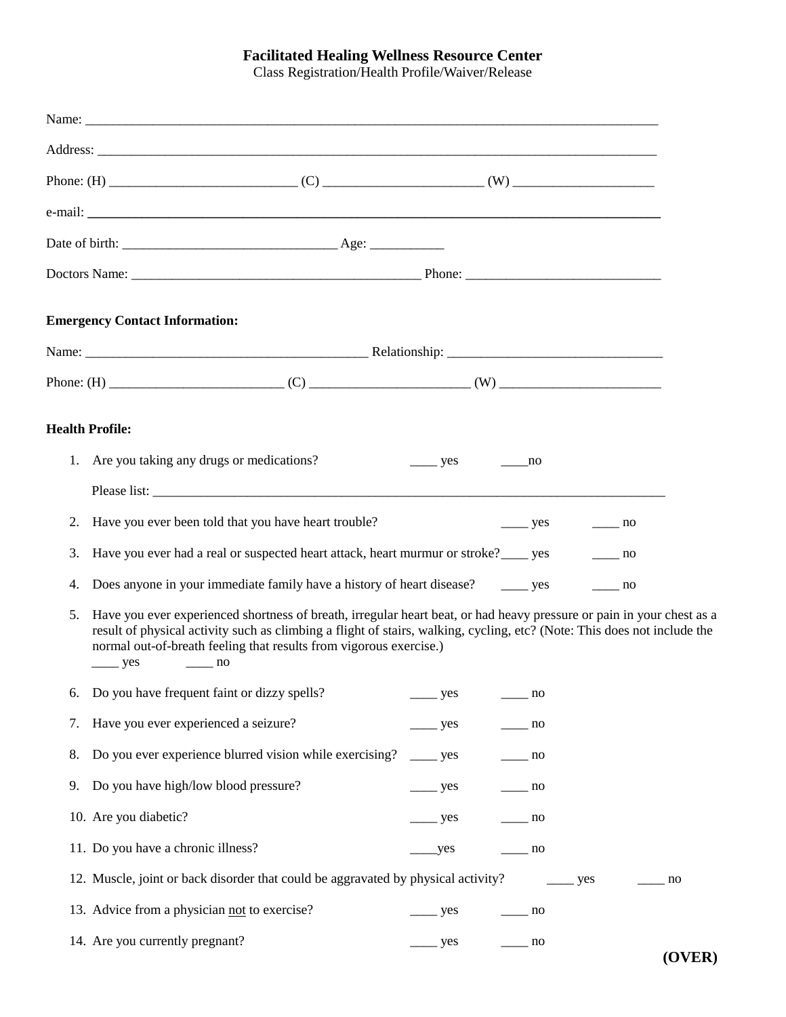## **Facilitated Healing Wellness Resource Center**

Class Registration/Health Profile/Waiver/Release

|    | <b>Emergency Contact Information:</b>                                                                                                                                                                                                                                                                                                                      |                          |                                        |    |                            |
|----|------------------------------------------------------------------------------------------------------------------------------------------------------------------------------------------------------------------------------------------------------------------------------------------------------------------------------------------------------------|--------------------------|----------------------------------------|----|----------------------------|
|    |                                                                                                                                                                                                                                                                                                                                                            |                          |                                        |    |                            |
|    |                                                                                                                                                                                                                                                                                                                                                            |                          |                                        |    |                            |
|    | <b>Health Profile:</b>                                                                                                                                                                                                                                                                                                                                     |                          |                                        |    |                            |
|    | 1. Are you taking any drugs or medications?                                                                                                                                                                                                                                                                                                                | $\frac{\ }{2}$ yes       | no                                     |    |                            |
|    |                                                                                                                                                                                                                                                                                                                                                            |                          |                                        |    |                            |
| 2. | Have you ever been told that you have heart trouble?                                                                                                                                                                                                                                                                                                       |                          | $\frac{\ }{\ }$ yes $\frac{\ }{\ }$ no |    |                            |
| 3. | Have you ever had a real or suspected heart attack, heart murmur or stroke? ______ yes ________ no                                                                                                                                                                                                                                                         |                          |                                        |    |                            |
| 4. | Does anyone in your immediate family have a history of heart disease? ________ yes ________ no                                                                                                                                                                                                                                                             |                          |                                        |    |                            |
| 5. | Have you ever experienced shortness of breath, irregular heart beat, or had heavy pressure or pain in your chest as a<br>result of physical activity such as climbing a flight of stairs, walking, cycling, etc? (Note: This does not include the<br>normal out-of-breath feeling that results from vigorous exercise.)<br>$\frac{\ }{2}$ yes<br>$\sim$ no |                          |                                        |    |                            |
| 6. | Do you have frequent faint or dizzy spells?                                                                                                                                                                                                                                                                                                                | $\equiv$ yes             | $-$ no                                 |    |                            |
| 7. | Have you ever experienced a seizure?                                                                                                                                                                                                                                                                                                                       | $\frac{\ }{2}$ yes       | $\frac{1}{\sqrt{1-\frac{1}{2}}}\$      |    |                            |
| 8. | Do you ever experience blurred vision while exercising?                                                                                                                                                                                                                                                                                                    | $\frac{\ }{2}$ yes       | $\frac{1}{\sqrt{1-\frac{1}{2}}}\$ no   |    |                            |
| 9. | Do you have high/low blood pressure?                                                                                                                                                                                                                                                                                                                       | $\frac{\ }{2}$ yes       | $\frac{1}{\sqrt{1-\frac{1}{2}}}\}$     |    |                            |
|    | 10. Are you diabetic?                                                                                                                                                                                                                                                                                                                                      | $\rule{1em}{0.15mm}$ yes | $\frac{1}{\sqrt{1-\frac{1}{2}}}\$ no   |    |                            |
|    | 11. Do you have a chronic illness?                                                                                                                                                                                                                                                                                                                         | yes                      | $\frac{1}{\sqrt{1-\frac{1}{2}}}\}$     |    |                            |
|    | 12. Muscle, joint or back disorder that could be aggravated by physical activity? _______ yes                                                                                                                                                                                                                                                              |                          |                                        | no |                            |
|    | 13. Advice from a physician not to exercise?                                                                                                                                                                                                                                                                                                               | $\equiv$ yes             | $\frac{1}{\sqrt{1-\frac{1}{2}}}\$ no   |    |                            |
|    | 14. Are you currently pregnant?                                                                                                                                                                                                                                                                                                                            | $\equiv$ yes             | $\frac{1}{\sqrt{1-\frac{1}{2}}}\ln 0$  |    | $\boldsymbol{\Lambda}$ ved |